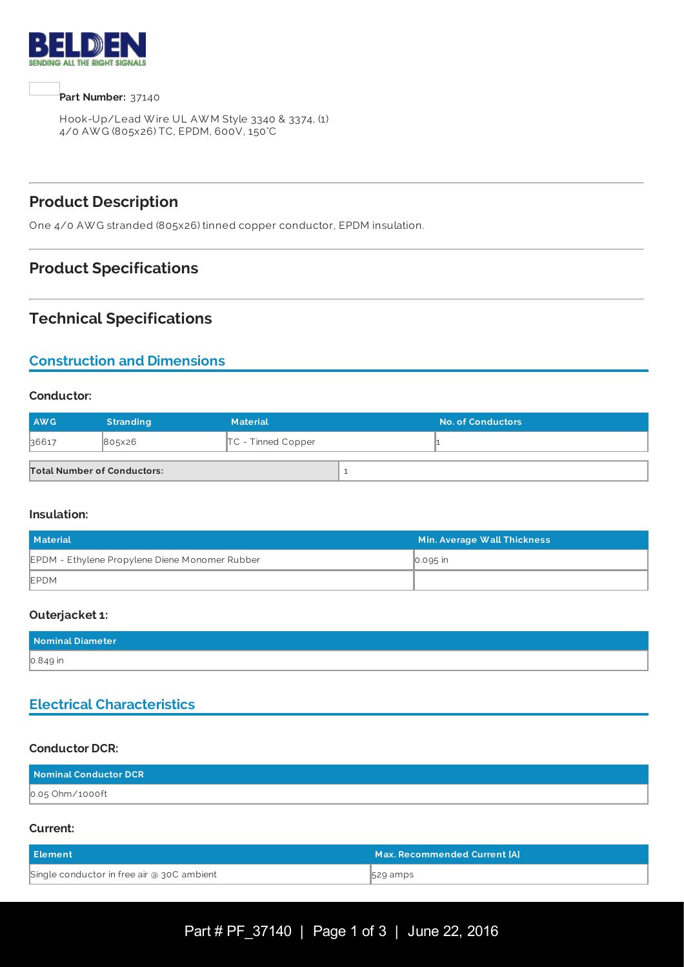

**Part Number:** 37140

Hook-Up/Lead W ire UL AW M Style 3340 & 3374, (1) 4/0 AW G (805x26) TC, EPDM, 600V, 150°C

## **Product Description**

One 4/0 AW G stranded (805x26) tinned copper conductor, EPDM insulation.

## **Product Specifications**

## **Technical Specifications**

# **Construction and Dimensions**

#### **Conductor:**

| <b>AWG</b>                         | <b>Stranding</b> | <b>Material</b>      | <b>No. of Conductors</b> |
|------------------------------------|------------------|----------------------|--------------------------|
| 36617                              | 805x26           | $TC$ - Tinned Copper |                          |
| <b>Total Number of Conductors:</b> |                  |                      |                          |

#### **Insulation:**

| <b>Material</b>                                | Min. Average Wall Thickness |  |
|------------------------------------------------|-----------------------------|--|
| EPDM - Ethylene Propylene Diene Monomer Rubber | $\big  0.095$ in            |  |
| EPDM                                           |                             |  |

#### **Outerjacket 1:**

| Nominal Diameter |  |
|------------------|--|
| $0.849$ in       |  |

# **Electrical Characteristics**

#### **Conductor DCR:**

| Nominal Conductor DCR |  |
|-----------------------|--|
| 0.05 Ohm/1000ft       |  |

#### **Current:**

| Element                                    | Max. Recommended Current [A] \ |
|--------------------------------------------|--------------------------------|
| Single conductor in free air @ 30C ambient | 529 amps                       |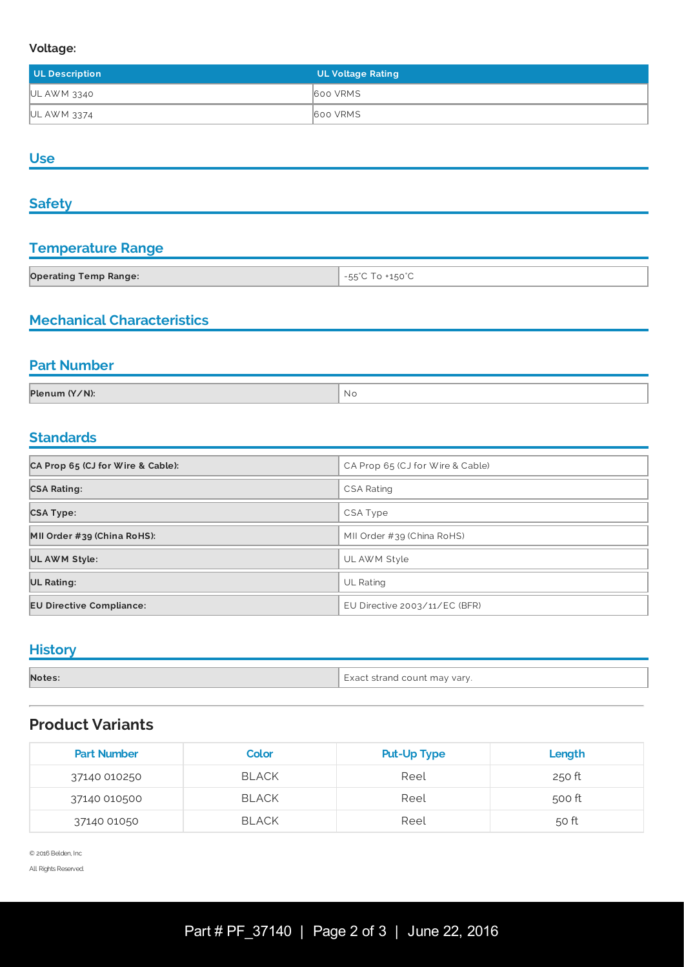#### **Voltage:**

| UL Description | <b>UL Voltage Rating</b> |
|----------------|--------------------------|
| UL AWM 3340    | 600 VRMS                 |
| UL AWM 3374    | <b>600 VRMS</b>          |

## **Use**

#### **Safety**

# **Temperature Range**

| <b>Operating Temp Range:</b> | $H_{\text{H}}$<br>the contract of the contract of |
|------------------------------|---------------------------------------------------|

### **Mechanical Characteristics**

<u> 1980 - Johann Barbara, martxa alemaniar a</u>

#### **Part Number**

| Plenum (Y/N): | N C |
|---------------|-----|
|               |     |

# **Standards**

| CA Prop 65 (CJ for Wire & Cable): | CA Prop 65 (CJ for Wire & Cable) |
|-----------------------------------|----------------------------------|
| <b>CSA Rating:</b>                | <b>CSA Rating</b>                |
| <b>CSA Type:</b>                  | CSA Type                         |
| MII Order #39 (China RoHS):       | MII Order #39 (China RoHS)       |
| UL AWM Style:                     | UL AWM Style                     |
| UL Rating:                        | <b>UL Rating</b>                 |
| <b>EU Directive Compliance:</b>   | EU Directive 2003/11/EC (BFR)    |

## **History**

| Notes: | Exact strand count may vary. |
|--------|------------------------------|

## **Product Variants**

| <b>Part Number</b> | <b>Color</b> | <b>Put-Up Type</b> | Length |
|--------------------|--------------|--------------------|--------|
| 37140 010250       | <b>BLACK</b> | Reel               | 250 ft |
| 37140 010500       | <b>BLACK</b> | Reel               | 500 ft |
| 37140 01050        | <b>BLACK</b> | Reel               | 50 ft  |

© 2016 Belden, Inc

All Rights Reserved.